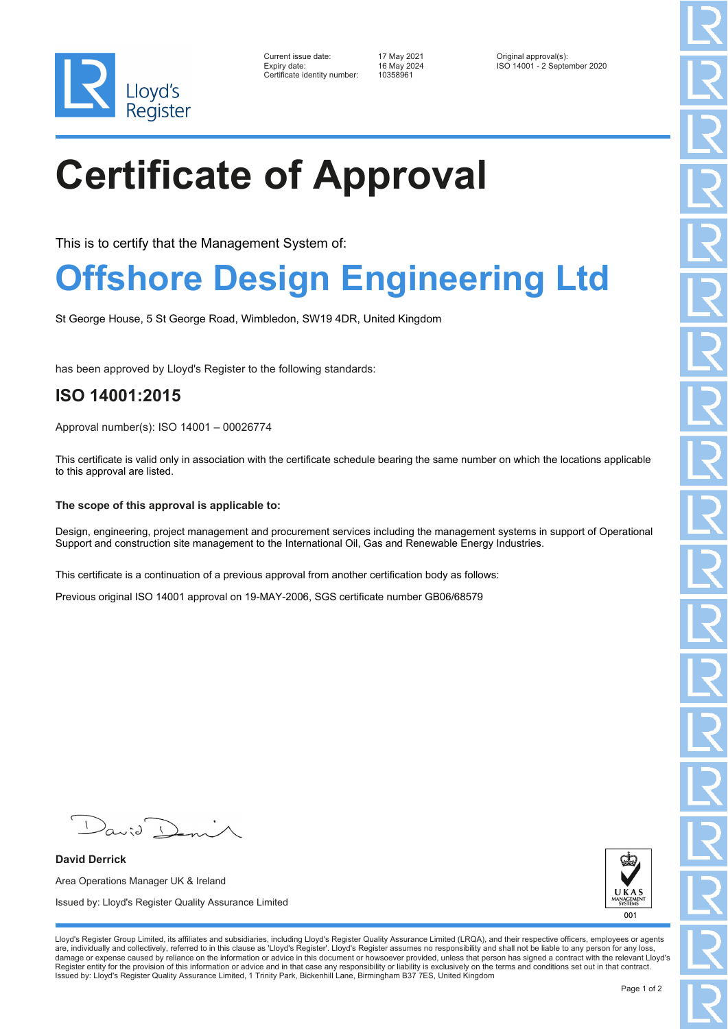

| Current issue date:         |
|-----------------------------|
| Expiry date:                |
| Certificate identity number |

Certificate identity number: 10358961

Current issue date: 17 May 2021 Original approval(s): Expiry date: 16 May 2024 ISO 14001 - 2 September 2020

# **Certificate of Approval**

This is to certify that the Management System of:

### **Offshore Design Engineering Ltd**

St George House, 5 St George Road, Wimbledon, SW19 4DR, United Kingdom

has been approved by Lloyd's Register to the following standards:

### **ISO 14001:2015**

Approval number(s): ISO 14001 – 00026774

This certificate is valid only in association with the certificate schedule bearing the same number on which the locations applicable to this approval are listed.

#### **The scope of this approval is applicable to:**

Design, engineering, project management and procurement services including the management systems in support of Operational Support and construction site management to the International Oil, Gas and Renewable Energy Industries.

This certificate is a continuation of a previous approval from another certification body as follows:

Previous original ISO 14001 approval on 19-MAY-2006, SGS certificate number GB06/68579

**David Derrick** Area Operations Manager UK & Ireland Issued by: Lloyd's Register Quality Assurance Limited



Lloyd's Register Group Limited, its affiliates and subsidiaries, including Lloyd's Register Quality Assurance Limited (LRQA), and their respective officers, employees or agents are, individually and collectively, referred to in this clause as 'Lloyd's Register'. Lloyd's Register assumes no responsibility and shall not be liable to any person for any loss,<br>damage or expense caused by reliance on t Register entity for the provision of this information or advice and in that case any responsibility or liability is exclusively on the terms and conditions set out in that contract. Issued by: Lloyd's Register Quality Assurance Limited, 1 Trinity Park, Bickenhill Lane, Birmingham B37 7ES, United Kingdom